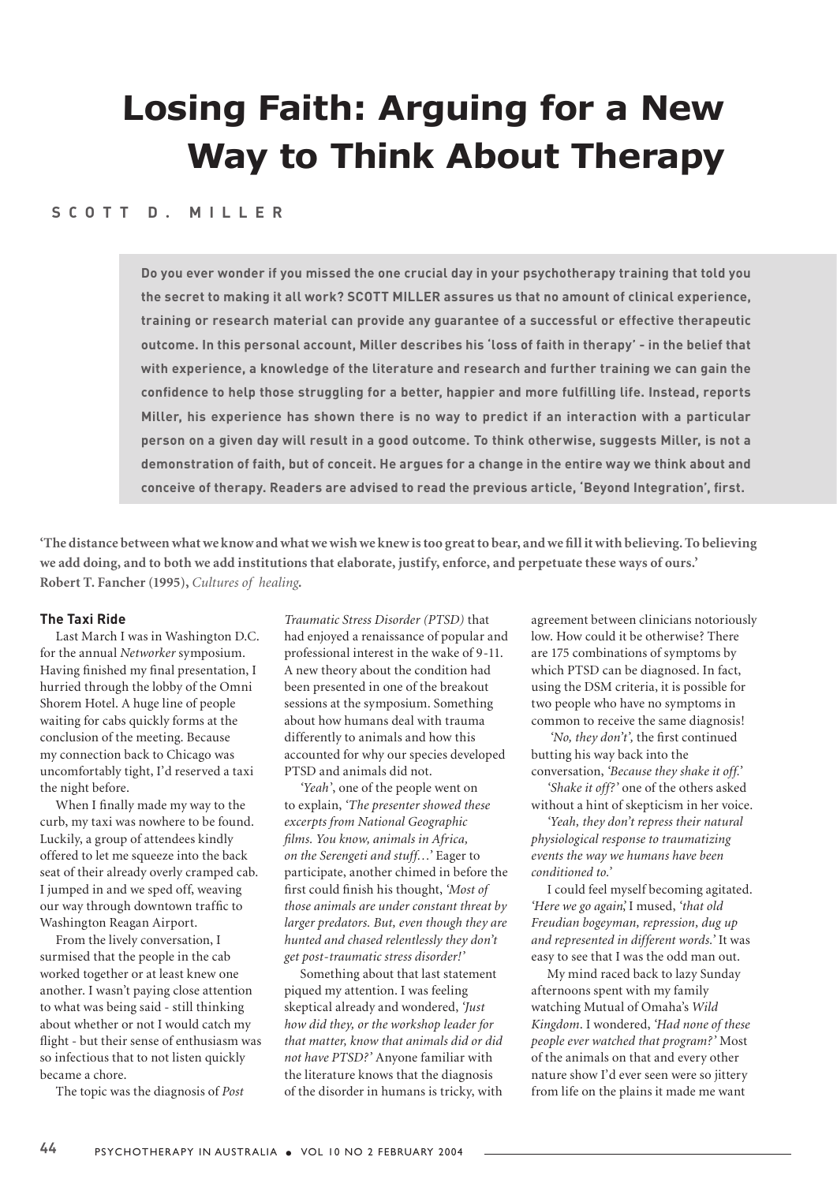# **Losing Faith: Arguing for a New Way to Think About Therapy**

## **S C O T T D . M I L L E R**

**Do you ever wonder if you missed the one crucial day in your psychotherapy training that told you the secret to making it all work? SCOTT MILLER assures us that no amount of clinical experience, training or research material can provide any guarantee of a successful or effective therapeutic outcome. In this personal account, Miller describes his 'loss of faith in therapy' - in the belief that with experience, a knowledge of the literature and research and further training we can gain the confidence to help those struggling for a better, happier and more fulfilling life. Instead, reports Miller, his experience has shown there is no way to predict if an interaction with a particular person on a given day will result in a good outcome. To think otherwise, suggests Miller, is not a demonstration of faith, but of conceit. He argues for a change in the entire way we think about and conceive of therapy. Readers are advised to read the previous article, 'Beyond Integration', first.**

**'The distance between what we know and what we wish we knew is too great to bear, and we fill it with believing. To believing we add doing, and to both we add institutions that elaborate, justify, enforce, and perpetuate these ways of ours.' Robert T. Fancher (1995),** *Cultures of healing***.**

#### **The Taxi Ride**

Last March I was in Washington D.C. for the annual *Networker* symposium. Having finished my final presentation, I hurried through the lobby of the Omni Shorem Hotel. A huge line of people waiting for cabs quickly forms at the conclusion of the meeting. Because my connection back to Chicago was uncomfortably tight, I'd reserved a taxi the night before.

When I finally made my way to the curb, my taxi was nowhere to be found. Luckily, a group of attendees kindly offered to let me squeeze into the back seat of their already overly cramped cab. I jumped in and we sped off, weaving our way through downtown traffic to Washington Reagan Airport.

From the lively conversation, I surmised that the people in the cab worked together or at least knew one another. I wasn't paying close attention to what was being said - still thinking about whether or not I would catch my flight - but their sense of enthusiasm was so infectious that to not listen quickly became a chore.

The topic was the diagnosis of *Post* 

*Traumatic Stress Disorder (PTSD)* that had enjoyed a renaissance of popular and professional interest in the wake of 9-11. A new theory about the condition had been presented in one of the breakout sessions at the symposium. Something about how humans deal with trauma differently to animals and how this accounted for why our species developed PTSD and animals did not.

*'Yeah*', one of the people went on to explain, *'The presenter showed these excerpts from National Geographic films. You know, animals in Africa, on the Serengeti and stuff…'* Eager to participate, another chimed in before the first could finish his thought, *'Most of those animals are under constant threat by larger predators. But, even though they are hunted and chased relentlessly they don't get post-traumatic stress disorder!'*

Something about that last statement piqued my attention. I was feeling skeptical already and wondered, *'Just how did they, or the workshop leader for that matter, know that animals did or did not have PTSD?'* Anyone familiar with the literature knows that the diagnosis of the disorder in humans is tricky, with agreement between clinicians notoriously low. How could it be otherwise? There are 175 combinations of symptoms by which PTSD can be diagnosed. In fact, using the DSM criteria, it is possible for two people who have no symptoms in common to receive the same diagnosis!

*'No, they don't',* the first continued butting his way back into the conversation, *'Because they shake it off.'* 

*'Shake it off?'* one of the others asked without a hint of skepticism in her voice.

*'Yeah, they don't repress their natural physiological response to traumatizing events the way we humans have been conditioned to.'* 

I could feel myself becoming agitated. *'Here we go again'*, I mused, *'that old Freudian bogeyman, repression, dug up and represented in different words.'* It was easy to see that I was the odd man out.

My mind raced back to lazy Sunday afternoons spent with my family watching Mutual of Omaha's *Wild Kingdom*. I wondered, *'Had none of these people ever watched that program?'* Most of the animals on that and every other nature show I'd ever seen were so jittery from life on the plains it made me want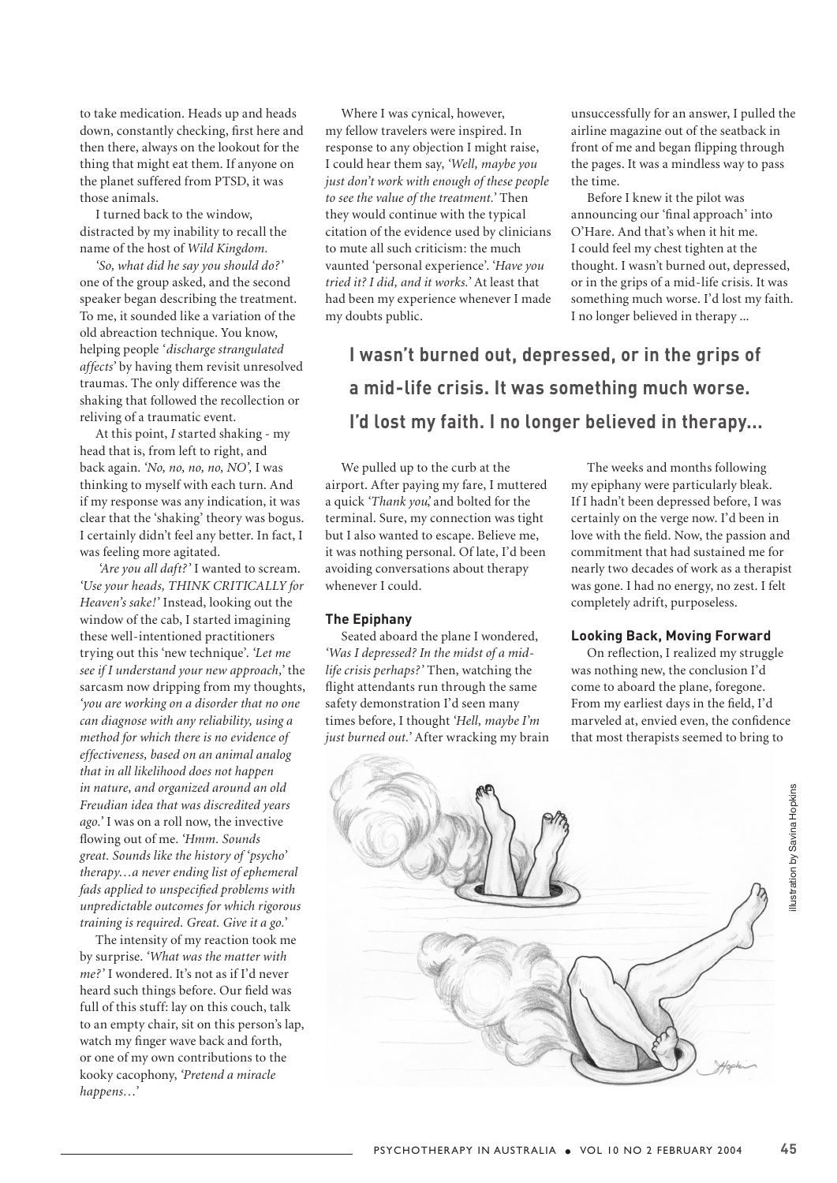to take medication. Heads up and heads down, constantly checking, first here and then there, always on the lookout for the thing that might eat them. If anyone on the planet suffered from PTSD, it was those animals.

I turned back to the window, distracted by my inability to recall the name of the host of *Wild Kingdom.* 

*'So, what did he say you should do?'*  one of the group asked, and the second speaker began describing the treatment. To me, it sounded like a variation of the old abreaction technique. You know, helping people *'discharge strangulated affects'* by having them revisit unresolved traumas. The only difference was the shaking that followed the recollection or reliving of a traumatic event.

At this point, *I* started shaking - my head that is, from left to right, and back again. *'No, no, no, no, NO',* I was thinking to myself with each turn. And if my response was any indication, it was clear that the 'shaking' theory was bogus. I certainly didn't feel any better. In fact, I was feeling more agitated.

*'Are you all daft?'* I wanted to scream. *'Use your heads, THINK CRITICALLY for Heaven's sake!'* Instead, looking out the window of the cab, I started imagining these well-intentioned practitioners trying out this 'new technique'. *'Let me see if I understand your new approach,'* the sarcasm now dripping from my thoughts, *'you are working on a disorder that no one can diagnose with any reliability, using a method for which there is no evidence of effectiveness, based on an animal analog that in all likelihood does not happen in nature, and organized around an old Freudian idea that was discredited years ago.'* I was on a roll now, the invective flowing out of me. *'Hmm. Sounds great. Sounds like the history of 'psycho' therapy…a never ending list of ephemeral fads applied to unspecified problems with unpredictable outcomes for which rigorous training is required. Great. Give it a go.'*

The intensity of my reaction took me by surprise. *'What was the matter with me?'* I wondered. It's not as if I'd never heard such things before. Our field was full of this stuff: lay on this couch, talk to an empty chair, sit on this person's lap, watch my finger wave back and forth, or one of my own contributions to the kooky cacophony, *'Pretend a miracle happens…'* 

Where I was cynical, however, my fellow travelers were inspired. In response to any objection I might raise, I could hear them say, *'Well, maybe you just don't work with enough of these people to see the value of the treatment.'* Then they would continue with the typical citation of the evidence used by clinicians to mute all such criticism: the much vaunted 'personal experience'. '*Have you tried it? I did, and it works.'* At least that had been my experience whenever I made my doubts public.

unsuccessfully for an answer, I pulled the airline magazine out of the seatback in front of me and began flipping through the pages. It was a mindless way to pass the time.

Before I knew it the pilot was announcing our 'final approach' into O'Hare. And that's when it hit me. I could feel my chest tighten at the thought. I wasn't burned out, depressed, or in the grips of a mid-life crisis. It was something much worse. I'd lost my faith. I no longer believed in therapy ...

**I wasn't burned out, depressed, or in the grips of a mid-life crisis. It was something much worse. I'd lost my faith. I no longer believed in therapy...** 

We pulled up to the curb at the airport. After paying my fare, I muttered a quick *'Thank you'*, and bolted for the terminal. Sure, my connection was tight but I also wanted to escape. Believe me, it was nothing personal. Of late, I'd been avoiding conversations about therapy whenever I could.

### **The Epiphany**

Seated aboard the plane I wondered, *'Was I depressed? In the midst of a midlife crisis perhaps?'* Then, watching the flight attendants run through the same safety demonstration I'd seen many times before, I thought *'Hell, maybe I'm just burned out.'* After wracking my brain

The weeks and months following my epiphany were particularly bleak. If I hadn't been depressed before, I was certainly on the verge now. I'd been in love with the field. Now, the passion and commitment that had sustained me for nearly two decades of work as a therapist was gone. I had no energy, no zest. I felt completely adrift, purposeless.

## **Looking Back, Moving Forward**

On reflection, I realized my struggle was nothing new, the conclusion I'd come to aboard the plane, foregone. From my earliest days in the field, I'd marveled at, envied even, the confidence that most therapists seemed to bring to

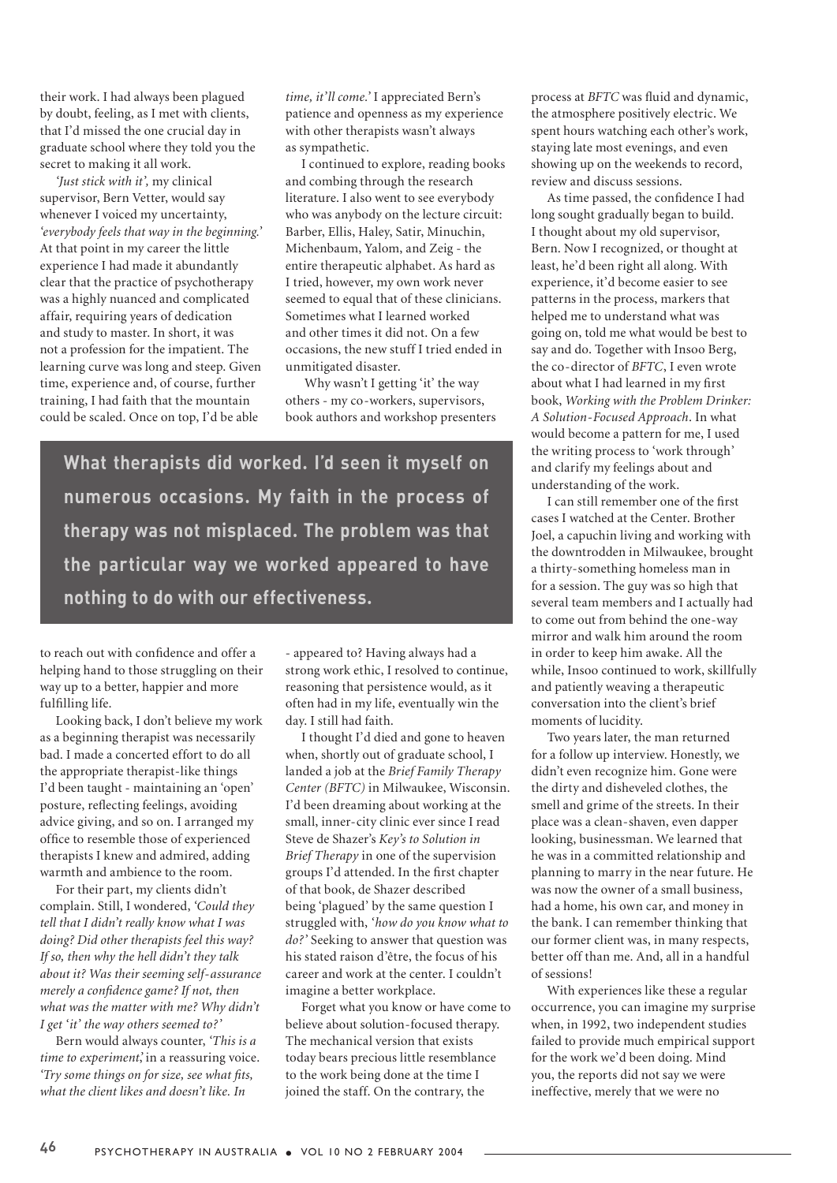their work. I had always been plagued by doubt, feeling, as I met with clients, that I'd missed the one crucial day in graduate school where they told you the secret to making it all work.

*'Just stick with it',* my clinical supervisor, Bern Vetter, would say whenever I voiced my uncertainty, *'everybody feels that way in the beginning.'*  At that point in my career the little experience I had made it abundantly clear that the practice of psychotherapy was a highly nuanced and complicated affair, requiring years of dedication and study to master. In short, it was not a profession for the impatient. The learning curve was long and steep. Given time, experience and, of course, further training, I had faith that the mountain could be scaled. Once on top, I'd be able

*time, it'll come.'* I appreciated Bern's patience and openness as my experience with other therapists wasn't always as sympathetic.

I continued to explore, reading books and combing through the research literature. I also went to see everybody who was anybody on the lecture circuit: Barber, Ellis, Haley, Satir, Minuchin, Michenbaum, Yalom, and Zeig - the entire therapeutic alphabet. As hard as I tried, however, my own work never seemed to equal that of these clinicians. Sometimes what I learned worked and other times it did not. On a few occasions, the new stuff I tried ended in unmitigated disaster.

 Why wasn't I getting 'it' the way others - my co-workers, supervisors, book authors and workshop presenters

**What therapists did worked. I'd seen it myself on numerous occasions. My faith in the process of therapy was not misplaced. The problem was that the particular way we worked appeared to have nothing to do with our effectiveness.**

to reach out with confidence and offer a helping hand to those struggling on their way up to a better, happier and more fulfilling life.

Looking back, I don't believe my work as a beginning therapist was necessarily bad. I made a concerted effort to do all the appropriate therapist-like things I'd been taught - maintaining an 'open' posture, reflecting feelings, avoiding advice giving, and so on. I arranged my office to resemble those of experienced therapists I knew and admired, adding warmth and ambience to the room.

For their part, my clients didn't complain. Still, I wondered, *'Could they tell that I didn't really know what I was doing? Did other therapists feel this way? If so, then why the hell didn't they talk about it? Was their seeming self-assurance merely a confidence game? If not, then what was the matter with me? Why didn't I get 'it' the way others seemed to?'* 

Bern would always counter, *'This is a time to experiment'*, in a reassuring voice. *'Try some things on for size, see what fits, what the client likes and doesn't like. In* 

- appeared to? Having always had a strong work ethic, I resolved to continue, reasoning that persistence would, as it often had in my life, eventually win the day. I still had faith.

I thought I'd died and gone to heaven when, shortly out of graduate school, I landed a job at the *Brief Family Therapy Center (BFTC)* in Milwaukee, Wisconsin. I'd been dreaming about working at the small, inner-city clinic ever since I read Steve de Shazer's *Key's to Solution in Brief Therapy* in one of the supervision groups I'd attended. In the first chapter of that book, de Shazer described being 'plagued' by the same question I struggled with, *'how do you know what to do?'* Seeking to answer that question was his stated raison d'être, the focus of his career and work at the center. I couldn't imagine a better workplace.

Forget what you know or have come to believe about solution-focused therapy. The mechanical version that exists today bears precious little resemblance to the work being done at the time I joined the staff. On the contrary, the

process at *BFTC* was fluid and dynamic, the atmosphere positively electric. We spent hours watching each other's work, staying late most evenings, and even showing up on the weekends to record, review and discuss sessions.

As time passed, the confidence I had long sought gradually began to build. I thought about my old supervisor, Bern. Now I recognized, or thought at least, he'd been right all along. With experience, it'd become easier to see patterns in the process, markers that helped me to understand what was going on, told me what would be best to say and do. Together with Insoo Berg, the co-director of *BFTC*, I even wrote about what I had learned in my first book, *Working with the Problem Drinker: A Solution-Focused Approach*. In what would become a pattern for me, I used the writing process to 'work through' and clarify my feelings about and understanding of the work.

I can still remember one of the first cases I watched at the Center. Brother Joel, a capuchin living and working with the downtrodden in Milwaukee, brought a thirty-something homeless man in for a session. The guy was so high that several team members and I actually had to come out from behind the one-way mirror and walk him around the room in order to keep him awake. All the while, Insoo continued to work, skillfully and patiently weaving a therapeutic conversation into the client's brief moments of lucidity.

Two years later, the man returned for a follow up interview. Honestly, we didn't even recognize him. Gone were the dirty and disheveled clothes, the smell and grime of the streets. In their place was a clean-shaven, even dapper looking, businessman. We learned that he was in a committed relationship and planning to marry in the near future. He was now the owner of a small business, had a home, his own car, and money in the bank. I can remember thinking that our former client was, in many respects, better off than me. And, all in a handful of sessions!

With experiences like these a regular occurrence, you can imagine my surprise when, in 1992, two independent studies failed to provide much empirical support for the work we'd been doing. Mind you, the reports did not say we were ineffective, merely that we were no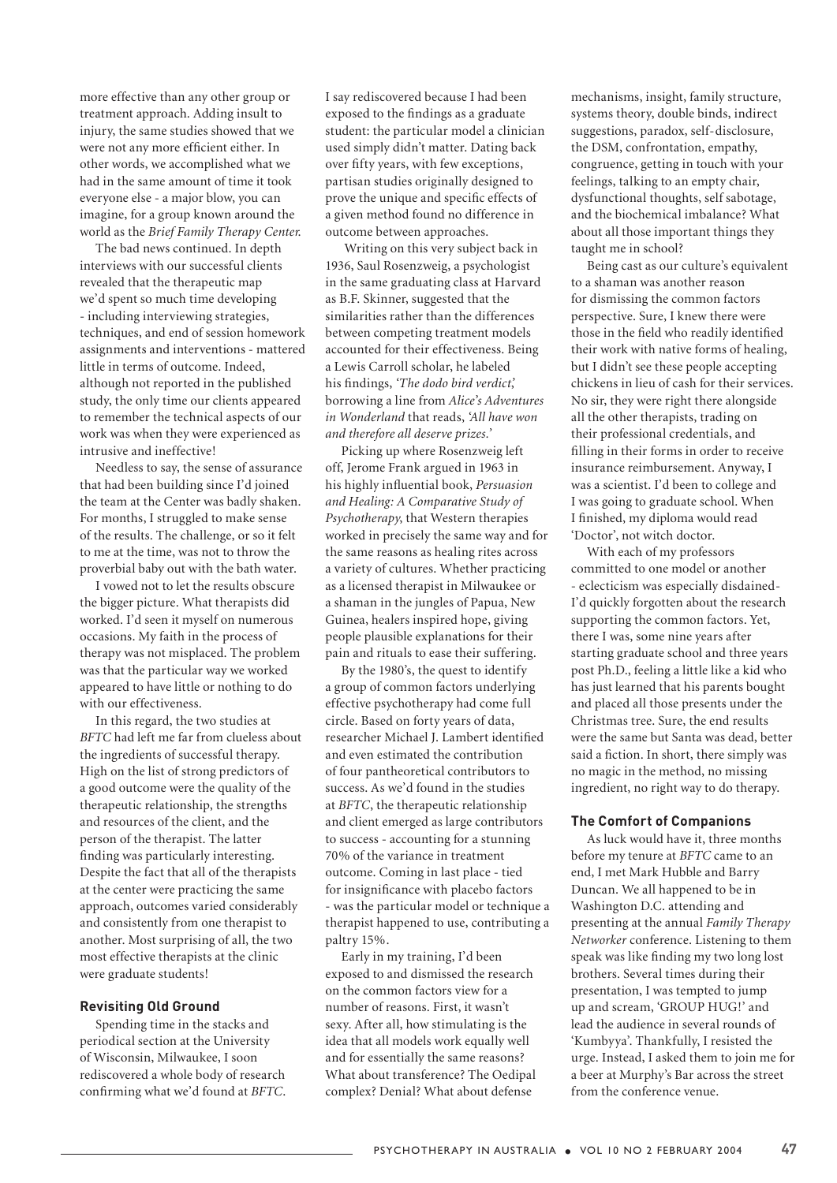more effective than any other group or treatment approach. Adding insult to injury, the same studies showed that we were not any more efficient either. In other words, we accomplished what we had in the same amount of time it took everyone else - a major blow, you can imagine, for a group known around the world as the *Brief Family Therapy Center*.

The bad news continued. In depth interviews with our successful clients revealed that the therapeutic map we'd spent so much time developing - including interviewing strategies, techniques, and end of session homework assignments and interventions - mattered little in terms of outcome. Indeed, although not reported in the published study, the only time our clients appeared to remember the technical aspects of our work was when they were experienced as intrusive and ineffective!

Needless to say, the sense of assurance that had been building since I'd joined the team at the Center was badly shaken. For months, I struggled to make sense of the results. The challenge, or so it felt to me at the time, was not to throw the proverbial baby out with the bath water.

I vowed not to let the results obscure the bigger picture. What therapists did worked. I'd seen it myself on numerous occasions. My faith in the process of therapy was not misplaced. The problem was that the particular way we worked appeared to have little or nothing to do with our effectiveness.

In this regard, the two studies at *BFTC* had left me far from clueless about the ingredients of successful therapy. High on the list of strong predictors of a good outcome were the quality of the therapeutic relationship, the strengths and resources of the client, and the person of the therapist. The latter finding was particularly interesting. Despite the fact that all of the therapists at the center were practicing the same approach, outcomes varied considerably and consistently from one therapist to another. Most surprising of all, the two most effective therapists at the clinic were graduate students!

### **Revisiting Old Ground**

Spending time in the stacks and periodical section at the University of Wisconsin, Milwaukee, I soon rediscovered a whole body of research confirming what we'd found at *BFTC*. I say rediscovered because I had been exposed to the findings as a graduate student: the particular model a clinician used simply didn't matter. Dating back over fifty years, with few exceptions, partisan studies originally designed to prove the unique and specific effects of a given method found no difference in outcome between approaches.

 Writing on this very subject back in 1936, Saul Rosenzweig, a psychologist in the same graduating class at Harvard as B.F. Skinner, suggested that the similarities rather than the differences between competing treatment models accounted for their effectiveness. Being a Lewis Carroll scholar, he labeled his findings, *'The dodo bird verdict'*, borrowing a line from *Alice's Adventures in Wonderland* that reads, *'All have won and therefore all deserve prizes.'*

Picking up where Rosenzweig left off, Jerome Frank argued in 1963 in his highly influential book, *Persuasion and Healing: A Comparative Study of Psychotherapy*, that Western therapies worked in precisely the same way and for the same reasons as healing rites across a variety of cultures. Whether practicing as a licensed therapist in Milwaukee or a shaman in the jungles of Papua, New Guinea, healers inspired hope, giving people plausible explanations for their pain and rituals to ease their suffering.

By the 1980's, the quest to identify a group of common factors underlying effective psychotherapy had come full circle. Based on forty years of data, researcher Michael J. Lambert identified and even estimated the contribution of four pantheoretical contributors to success. As we'd found in the studies at *BFTC*, the therapeutic relationship and client emerged as large contributors to success - accounting for a stunning 70% of the variance in treatment outcome. Coming in last place - tied for insignificance with placebo factors - was the particular model or technique a therapist happened to use, contributing a paltry 15%.

Early in my training, I'd been exposed to and dismissed the research on the common factors view for a number of reasons. First, it wasn't sexy. After all, how stimulating is the idea that all models work equally well and for essentially the same reasons? What about transference? The Oedipal complex? Denial? What about defense

mechanisms, insight, family structure, systems theory, double binds, indirect suggestions, paradox, self-disclosure, the DSM, confrontation, empathy, congruence, getting in touch with your feelings, talking to an empty chair, dysfunctional thoughts, self sabotage, and the biochemical imbalance? What about all those important things they taught me in school?

Being cast as our culture's equivalent to a shaman was another reason for dismissing the common factors perspective. Sure, I knew there were those in the field who readily identified their work with native forms of healing, but I didn't see these people accepting chickens in lieu of cash for their services. No sir, they were right there alongside all the other therapists, trading on their professional credentials, and filling in their forms in order to receive insurance reimbursement. Anyway, I was a scientist. I'd been to college and I was going to graduate school. When I finished, my diploma would read 'Doctor', not witch doctor.

With each of my professors committed to one model or another - eclecticism was especially disdained-I'd quickly forgotten about the research supporting the common factors. Yet, there I was, some nine years after starting graduate school and three years post Ph.D., feeling a little like a kid who has just learned that his parents bought and placed all those presents under the Christmas tree. Sure, the end results were the same but Santa was dead, better said a fiction. In short, there simply was no magic in the method, no missing ingredient, no right way to do therapy.

### **The Comfort of Companions**

As luck would have it, three months before my tenure at *BFTC* came to an end, I met Mark Hubble and Barry Duncan. We all happened to be in Washington D.C. attending and presenting at the annual *Family Therapy Networker* conference. Listening to them speak was like finding my two long lost brothers. Several times during their presentation, I was tempted to jump up and scream, 'GROUP HUG!' and lead the audience in several rounds of 'Kumbyya'. Thankfully, I resisted the urge. Instead, I asked them to join me for a beer at Murphy's Bar across the street from the conference venue.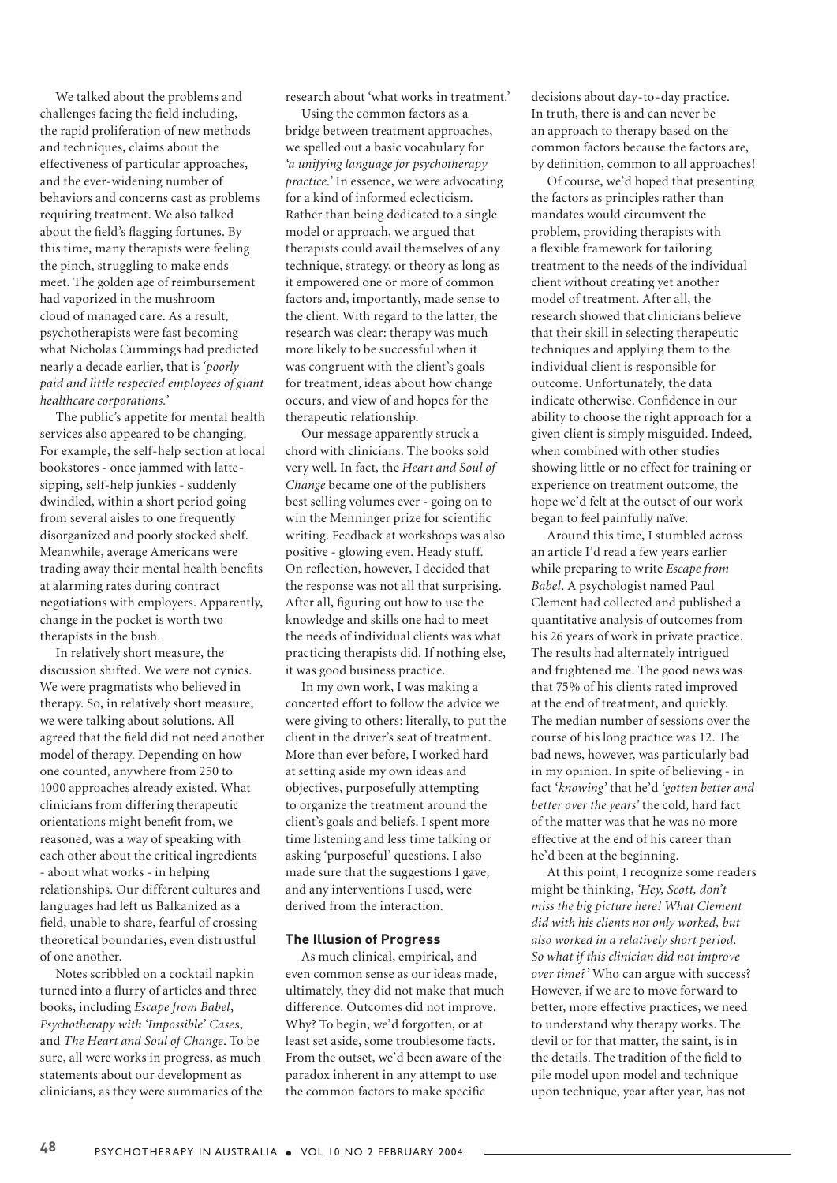We talked about the problems and challenges facing the field including, the rapid proliferation of new methods and techniques, claims about the effectiveness of particular approaches, and the ever-widening number of behaviors and concerns cast as problems requiring treatment. We also talked about the field's flagging fortunes. By this time, many therapists were feeling the pinch, struggling to make ends meet. The golden age of reimbursement had vaporized in the mushroom cloud of managed care. As a result, psychotherapists were fast becoming what Nicholas Cummings had predicted nearly a decade earlier, that is *'poorly paid and little respected employees of giant healthcare corporations.'* 

The public's appetite for mental health services also appeared to be changing. For example, the self-help section at local bookstores - once jammed with lattesipping, self-help junkies - suddenly dwindled, within a short period going from several aisles to one frequently disorganized and poorly stocked shelf. Meanwhile, average Americans were trading away their mental health benefits at alarming rates during contract negotiations with employers. Apparently, change in the pocket is worth two therapists in the bush.

In relatively short measure, the discussion shifted. We were not cynics. We were pragmatists who believed in therapy. So, in relatively short measure, we were talking about solutions. All agreed that the field did not need another model of therapy. Depending on how one counted, anywhere from 250 to 1000 approaches already existed. What clinicians from differing therapeutic orientations might benefit from, we reasoned, was a way of speaking with each other about the critical ingredients - about what works - in helping relationships. Our different cultures and languages had left us Balkanized as a field, unable to share, fearful of crossing theoretical boundaries, even distrustful of one another.

Notes scribbled on a cocktail napkin turned into a flurry of articles and three books, including *Escape from Babel*, *Psychotherapy with 'Impossible' Case*s, and *The Heart and Soul of Change*. To be sure, all were works in progress, as much statements about our development as clinicians, as they were summaries of the research about 'what works in treatment.'

Using the common factors as a bridge between treatment approaches, we spelled out a basic vocabulary for *'a unifying language for psychotherapy practice.'* In essence, we were advocating for a kind of informed eclecticism. Rather than being dedicated to a single model or approach, we argued that therapists could avail themselves of any technique, strategy, or theory as long as it empowered one or more of common factors and, importantly, made sense to the client. With regard to the latter, the research was clear: therapy was much more likely to be successful when it was congruent with the client's goals for treatment, ideas about how change occurs, and view of and hopes for the therapeutic relationship.

Our message apparently struck a chord with clinicians. The books sold very well. In fact, the *Heart and Soul of Change* became one of the publishers best selling volumes ever - going on to win the Menninger prize for scientific writing. Feedback at workshops was also positive - glowing even. Heady stuff. On reflection, however, I decided that the response was not all that surprising. After all, figuring out how to use the knowledge and skills one had to meet the needs of individual clients was what practicing therapists did. If nothing else, it was good business practice.

In my own work, I was making a concerted effort to follow the advice we were giving to others: literally, to put the client in the driver's seat of treatment. More than ever before, I worked hard at setting aside my own ideas and objectives, purposefully attempting to organize the treatment around the client's goals and beliefs. I spent more time listening and less time talking or asking 'purposeful' questions. I also made sure that the suggestions I gave, and any interventions I used, were derived from the interaction.

## **The Illusion of Progress**

As much clinical, empirical, and even common sense as our ideas made, ultimately, they did not make that much difference. Outcomes did not improve. Why? To begin, we'd forgotten, or at least set aside, some troublesome facts. From the outset, we'd been aware of the paradox inherent in any attempt to use the common factors to make specific

decisions about day-to-day practice. In truth, there is and can never be an approach to therapy based on the common factors because the factors are, by definition, common to all approaches!

Of course, we'd hoped that presenting the factors as principles rather than mandates would circumvent the problem, providing therapists with a flexible framework for tailoring treatment to the needs of the individual client without creating yet another model of treatment. After all, the research showed that clinicians believe that their skill in selecting therapeutic techniques and applying them to the individual client is responsible for outcome. Unfortunately, the data indicate otherwise. Confidence in our ability to choose the right approach for a given client is simply misguided. Indeed, when combined with other studies showing little or no effect for training or experience on treatment outcome, the hope we'd felt at the outset of our work began to feel painfully naïve.

Around this time, I stumbled across an article I'd read a few years earlier while preparing to write *Escape from Babel*. A psychologist named Paul Clement had collected and published a quantitative analysis of outcomes from his 26 years of work in private practice. The results had alternately intrigued and frightened me. The good news was that 75% of his clients rated improved at the end of treatment, and quickly. The median number of sessions over the course of his long practice was 12. The bad news, however, was particularly bad in my opinion. In spite of believing - in fact *'knowing'* that he'd *'gotten better and better over the years'* the cold, hard fact of the matter was that he was no more effective at the end of his career than he'd been at the beginning.

At this point, I recognize some readers might be thinking, *'Hey, Scott, don't miss the big picture here! What Clement did with his clients not only worked, but also worked in a relatively short period. So what if this clinician did not improve over time?'* Who can argue with success? However, if we are to move forward to better, more effective practices, we need to understand why therapy works. The devil or for that matter, the saint, is in the details. The tradition of the field to pile model upon model and technique upon technique, year after year, has not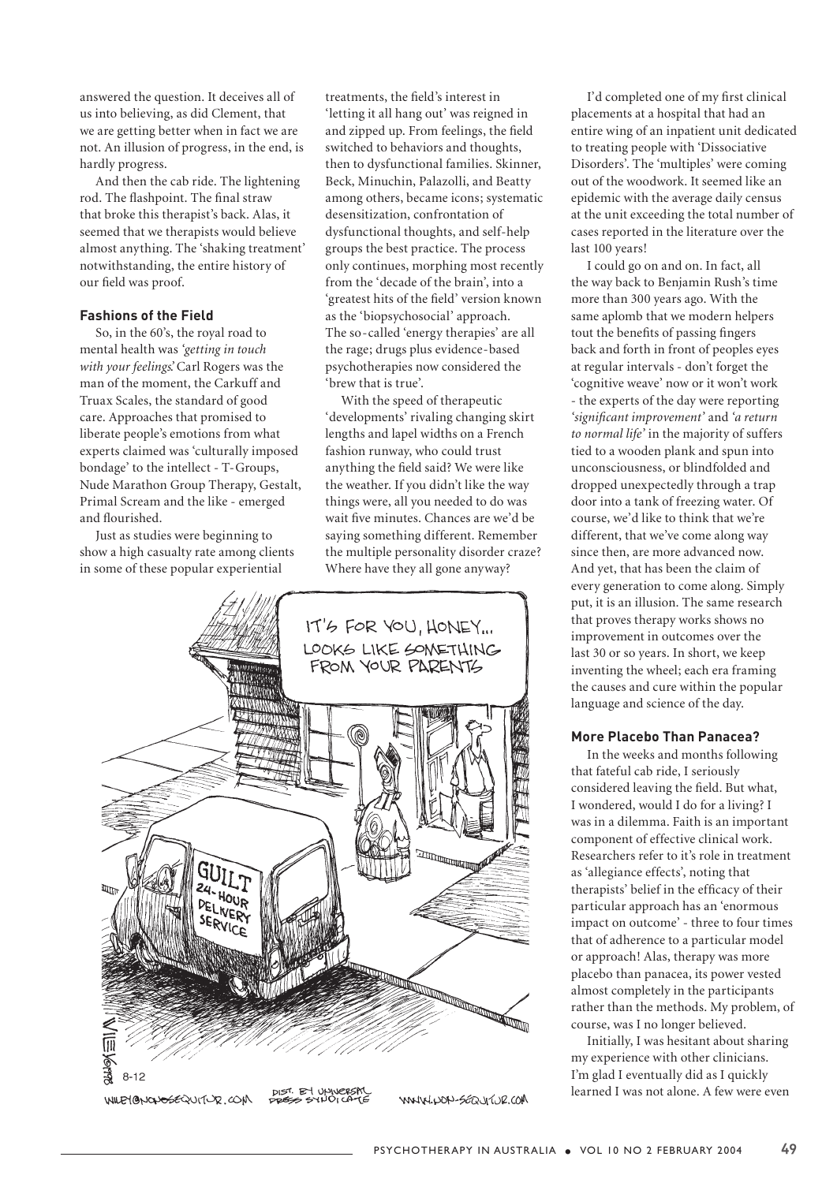answered the question. It deceives all of us into believing, as did Clement, that we are getting better when in fact we are not. An illusion of progress, in the end, is hardly progress.

And then the cab ride. The lightening rod. The flashpoint. The final straw that broke this therapist's back. Alas, it seemed that we therapists would believe almost anything. The 'shaking treatment' notwithstanding, the entire history of our field was proof.

## **Fashions of the Field**

So, in the 60's, the royal road to mental health was *'getting in touch with your feelings'*. Carl Rogers was the man of the moment, the Carkuff and Truax Scales, the standard of good care. Approaches that promised to liberate people's emotions from what experts claimed was 'culturally imposed bondage' to the intellect - T-Groups, Nude Marathon Group Therapy, Gestalt, Primal Scream and the like - emerged and flourished.

Just as studies were beginning to show a high casualty rate among clients in some of these popular experiential

treatments, the field's interest in 'letting it all hang out' was reigned in and zipped up. From feelings, the field switched to behaviors and thoughts, then to dysfunctional families. Skinner, Beck, Minuchin, Palazolli, and Beatty among others, became icons; systematic desensitization, confrontation of dysfunctional thoughts, and self-help groups the best practice. The process only continues, morphing most recently from the 'decade of the brain', into a 'greatest hits of the field' version known as the 'biopsychosocial' approach. The so-called 'energy therapies' are all the rage; drugs plus evidence-based psychotherapies now considered the 'brew that is true'.

With the speed of therapeutic 'developments' rivaling changing skirt lengths and lapel widths on a French fashion runway, who could trust anything the field said? We were like the weather. If you didn't like the way things were, all you needed to do was wait five minutes. Chances are we'd be saying something different. Remember the multiple personality disorder craze? Where have they all gone anyway?



WILEYONOUSEQUITUR.COM

WWW.HON-SEQUIVE.COM

I'd completed one of my first clinical placements at a hospital that had an entire wing of an inpatient unit dedicated to treating people with 'Dissociative Disorders'. The 'multiples' were coming out of the woodwork. It seemed like an epidemic with the average daily census at the unit exceeding the total number of cases reported in the literature over the last 100 years!

I could go on and on. In fact, all the way back to Benjamin Rush's time more than 300 years ago. With the same aplomb that we modern helpers tout the benefits of passing fingers back and forth in front of peoples eyes at regular intervals - don't forget the 'cognitive weave' now or it won't work - the experts of the day were reporting *'significant improvement'* and *'a return to normal life'* in the majority of suffers tied to a wooden plank and spun into unconsciousness, or blindfolded and dropped unexpectedly through a trap door into a tank of freezing water. Of course, we'd like to think that we're different, that we've come along way since then, are more advanced now. And yet, that has been the claim of every generation to come along. Simply put, it is an illusion. The same research that proves therapy works shows no improvement in outcomes over the last 30 or so years. In short, we keep inventing the wheel; each era framing the causes and cure within the popular language and science of the day.

#### **More Placebo Than Panacea?**

In the weeks and months following that fateful cab ride, I seriously considered leaving the field. But what, I wondered, would I do for a living? I was in a dilemma. Faith is an important component of effective clinical work. Researchers refer to it's role in treatment as 'allegiance effects', noting that therapists' belief in the efficacy of their particular approach has an 'enormous impact on outcome' - three to four times that of adherence to a particular model or approach! Alas, therapy was more placebo than panacea, its power vested almost completely in the participants rather than the methods. My problem, of course, was I no longer believed.

Initially, I was hesitant about sharing my experience with other clinicians. I'm glad I eventually did as I quickly learned I was not alone. A few were even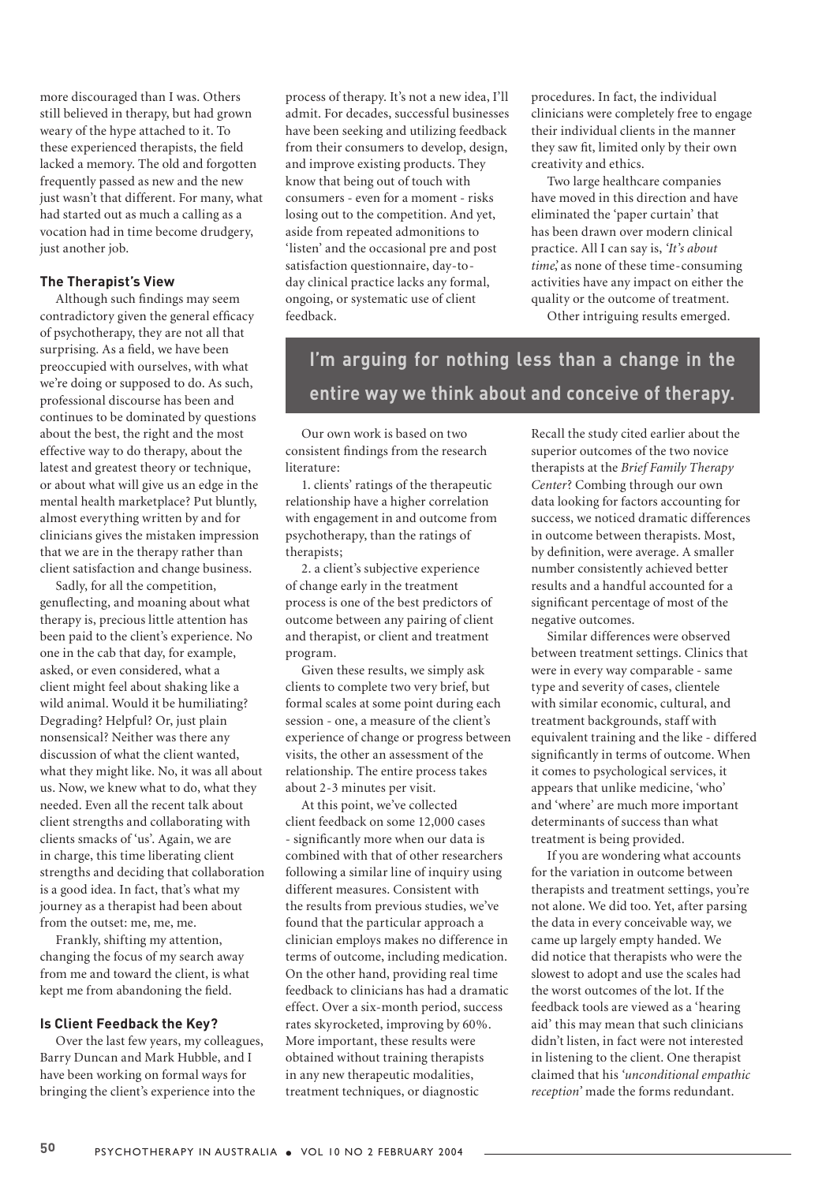more discouraged than I was. Others still believed in therapy, but had grown weary of the hype attached to it. To these experienced therapists, the field lacked a memory. The old and forgotten frequently passed as new and the new just wasn't that different. For many, what had started out as much a calling as a vocation had in time become drudgery, just another job.

## **The Therapist's View**

Although such findings may seem contradictory given the general efficacy of psychotherapy, they are not all that surprising. As a field, we have been preoccupied with ourselves, with what we're doing or supposed to do. As such, professional discourse has been and continues to be dominated by questions about the best, the right and the most effective way to do therapy, about the latest and greatest theory or technique, or about what will give us an edge in the mental health marketplace? Put bluntly, almost everything written by and for clinicians gives the mistaken impression that we are in the therapy rather than client satisfaction and change business.

Sadly, for all the competition, genuflecting, and moaning about what therapy is, precious little attention has been paid to the client's experience. No one in the cab that day, for example, asked, or even considered, what a client might feel about shaking like a wild animal. Would it be humiliating? Degrading? Helpful? Or, just plain nonsensical? Neither was there any discussion of what the client wanted, what they might like. No, it was all about us. Now, we knew what to do, what they needed. Even all the recent talk about client strengths and collaborating with clients smacks of 'us'. Again, we are in charge, this time liberating client strengths and deciding that collaboration is a good idea. In fact, that's what my journey as a therapist had been about from the outset: me, me, me.

Frankly, shifting my attention, changing the focus of my search away from me and toward the client, is what kept me from abandoning the field.

## **Is Client Feedback the Key?**

Over the last few years, my colleagues, Barry Duncan and Mark Hubble, and I have been working on formal ways for bringing the client's experience into the

process of therapy. It's not a new idea, I'll admit. For decades, successful businesses have been seeking and utilizing feedback from their consumers to develop, design, and improve existing products. They know that being out of touch with consumers - even for a moment - risks losing out to the competition. And yet, aside from repeated admonitions to 'listen' and the occasional pre and post satisfaction questionnaire, day-today clinical practice lacks any formal, ongoing, or systematic use of client feedback.

procedures. In fact, the individual clinicians were completely free to engage their individual clients in the manner they saw fit, limited only by their own creativity and ethics.

Two large healthcare companies have moved in this direction and have eliminated the 'paper curtain' that has been drawn over modern clinical practice. All I can say is, *'It's about time'*, as none of these time-consuming activities have any impact on either the quality or the outcome of treatment.

Other intriguing results emerged.

**I'm arguing for nothing less than a change in the entire way we think about and conceive of therapy.** 

Our own work is based on two consistent findings from the research literature:

1. clients' ratings of the therapeutic relationship have a higher correlation with engagement in and outcome from psychotherapy, than the ratings of therapists;

2. a client's subjective experience of change early in the treatment process is one of the best predictors of outcome between any pairing of client and therapist, or client and treatment program.

Given these results, we simply ask clients to complete two very brief, but formal scales at some point during each session - one, a measure of the client's experience of change or progress between visits, the other an assessment of the relationship. The entire process takes about 2-3 minutes per visit.

At this point, we've collected client feedback on some 12,000 cases - significantly more when our data is combined with that of other researchers following a similar line of inquiry using different measures. Consistent with the results from previous studies, we've found that the particular approach a clinician employs makes no difference in terms of outcome, including medication. On the other hand, providing real time feedback to clinicians has had a dramatic effect. Over a six-month period, success rates skyrocketed, improving by 60%. More important, these results were obtained without training therapists in any new therapeutic modalities, treatment techniques, or diagnostic

Recall the study cited earlier about the superior outcomes of the two novice therapists at the *Brief Family Therapy Center*? Combing through our own data looking for factors accounting for success, we noticed dramatic differences in outcome between therapists. Most, by definition, were average. A smaller number consistently achieved better results and a handful accounted for a significant percentage of most of the negative outcomes.

Similar differences were observed between treatment settings. Clinics that were in every way comparable - same type and severity of cases, clientele with similar economic, cultural, and treatment backgrounds, staff with equivalent training and the like - differed significantly in terms of outcome. When it comes to psychological services, it appears that unlike medicine, 'who' and 'where' are much more important determinants of success than what treatment is being provided.

If you are wondering what accounts for the variation in outcome between therapists and treatment settings, you're not alone. We did too. Yet, after parsing the data in every conceivable way, we came up largely empty handed. We did notice that therapists who were the slowest to adopt and use the scales had the worst outcomes of the lot. If the feedback tools are viewed as a 'hearing aid' this may mean that such clinicians didn't listen, in fact were not interested in listening to the client. One therapist claimed that his *'unconditional empathic reception'* made the forms redundant.